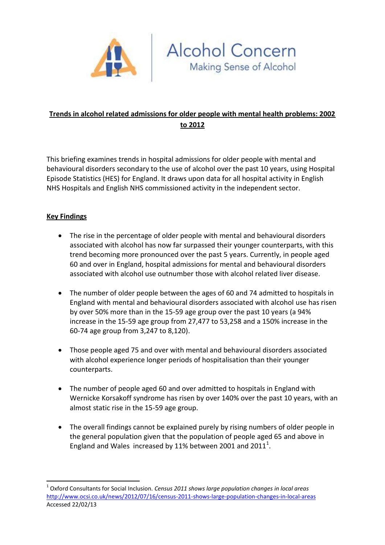

# **Trends in alcohol related admissions for older people with mental health problems: 2002 to 2012**

Alcohol Concern<br>Making Sense of Alcohol

This briefing examines trends in hospital admissions for older people with mental and behavioural disorders secondary to the use of alcohol over the past 10 years, using Hospital Episode Statistics (HES) for England. It draws upon data for all hospital activity in English NHS Hospitals and English NHS commissioned activity in the independent sector.

### **Key Findings**

 $\overline{a}$ 

- The rise in the percentage of older people with mental and behavioural disorders associated with alcohol has now far surpassed their younger counterparts, with this trend becoming more pronounced over the past 5 years. Currently, in people aged 60 and over in England, hospital admissions for mental and behavioural disorders associated with alcohol use outnumber those with alcohol related liver disease.
- The number of older people between the ages of 60 and 74 admitted to hospitals in England with mental and behavioural disorders associated with alcohol use has risen by over 50% more than in the 15-59 age group over the past 10 years (a 94% increase in the 15-59 age group from 27,477 to 53,258 and a 150% increase in the 60-74 age group from 3,247 to 8,120).
- Those people aged 75 and over with mental and behavioural disorders associated with alcohol experience longer periods of hospitalisation than their younger counterparts.
- The number of people aged 60 and over admitted to hospitals in England with Wernicke Korsakoff syndrome has risen by over 140% over the past 10 years, with an almost static rise in the 15-59 age group.
- The overall findings cannot be explained purely by rising numbers of older people in the general population given that the population of people aged 65 and above in England and Wales increased by 11% between 2001 and 2011<sup>1</sup>.

<sup>1</sup> Oxford Consultants for Social Inclusion. *Census 2011 shows large population changes in local areas* <http://www.ocsi.co.uk/news/2012/07/16/census-2011-shows-large-population-changes-in-local-areas> Accessed 22/02/13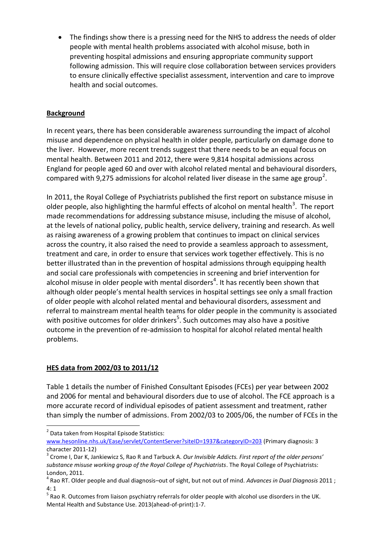The findings show there is a pressing need for the NHS to address the needs of older people with mental health problems associated with alcohol misuse, both in preventing hospital admissions and ensuring appropriate community support following admission. This will require close collaboration between services providers to ensure clinically effective specialist assessment, intervention and care to improve health and social outcomes.

## **Background**

In recent years, there has been considerable awareness surrounding the impact of alcohol misuse and dependence on physical health in older people, particularly on damage done to the liver. However, more recent trends suggest that there needs to be an equal focus on mental health. Between 2011 and 2012, there were 9,814 hospital admissions across England for people aged 60 and over with alcohol related mental and behavioural disorders, compared with 9,275 admissions for alcohol related liver disease in the same age group<sup>2</sup>.

In 2011, the Royal College of Psychiatrists published the first report on substance misuse in older people, also highlighting the harmful effects of alcohol on mental health<sup>3</sup>. The report made recommendations for addressing substance misuse, including the misuse of alcohol, at the levels of national policy, public health, service delivery, training and research. As well as raising awareness of a growing problem that continues to impact on clinical services across the country, it also raised the need to provide a seamless approach to assessment, treatment and care, in order to ensure that services work together effectively. This is no better illustrated than in the prevention of hospital admissions through equipping health and social care professionals with competencies in screening and brief intervention for alcohol misuse in older people with mental disorders<sup>4</sup>. It has recently been shown that although older people's mental health services in hospital settings see only a small fraction of older people with alcohol related mental and behavioural disorders, assessment and referral to mainstream mental health teams for older people in the community is associated with positive outcomes for older drinkers<sup>5</sup>. Such outcomes may also have a positive outcome in the prevention of re-admission to hospital for alcohol related mental health problems.

### **HES data from 2002/03 to 2011/12**

Table 1 details the number of Finished Consultant Episodes (FCEs) per year between 2002 and 2006 for mental and behavioural disorders due to use of alcohol. The FCE approach is a more accurate record of individual episodes of patient assessment and treatment, rather than simply the number of admissions. From 2002/03 to 2005/06, the number of FCEs in the

 $\overline{a}$ <sup>2</sup> Data taken from Hospital Episode Statistics:

[www.hesonline.nhs.uk/Ease/servlet/ContentServer?siteID=1937&categoryID=203](http://www.hesonline.nhs.uk/Ease/servlet/ContentServer?siteID=1937&categoryID=203) (Primary diagnosis: 3 character 2011-12)

<sup>3</sup> Crome I, Dar K, Jankiewicz S, Rao R and Tarbuck A. *Our Invisible Addicts. First report of the older persons' substance misuse working group of the Royal College of Psychiatrists*. The Royal College of Psychiatrists: London, 2011.

<sup>4</sup> Rao RT. Older people and dual diagnosis–out of sight, but not out of mind. *Advances in Dual Diagnosis* 2011 ; 4: 1

<sup>&</sup>lt;sup>5</sup> Rao R. Outcomes from liaison psychiatry referrals for older people with alcohol use disorders in the UK. Mental Health and Substance Use. 2013(ahead-of-print):1-7.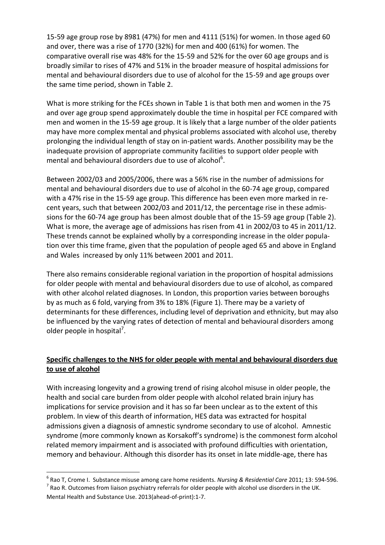15-59 age group rose by 8981 (47%) for men and 4111 (51%) for women. In those aged 60 and over, there was a rise of 1770 (32%) for men and 400 (61%) for women. The comparative overall rise was 48% for the 15-59 and 52% for the over 60 age groups and is broadly similar to rises of 47% and 51% in the broader measure of hospital admissions for mental and behavioural disorders due to use of alcohol for the 15-59 and age groups over the same time period, shown in Table 2.

What is more striking for the FCEs shown in Table 1 is that both men and women in the 75 and over age group spend approximately double the time in hospital per FCE compared with men and women in the 15-59 age group. It is likely that a large number of the older patients may have more complex mental and physical problems associated with alcohol use, thereby prolonging the individual length of stay on in-patient wards. Another possibility may be the inadequate provision of appropriate community facilities to support older people with mental and behavioural disorders due to use of alcohol $6$ .

Between 2002/03 and 2005/2006, there was a 56% rise in the number of admissions for mental and behavioural disorders due to use of alcohol in the 60-74 age group, compared with a 47% rise in the 15-59 age group. This difference has been even more marked in recent years, such that between 2002/03 and 2011/12, the percentage rise in these admissions for the 60-74 age group has been almost double that of the 15-59 age group (Table 2). What is more, the average age of admissions has risen from 41 in 2002/03 to 45 in 2011/12. These trends cannot be explained wholly by a corresponding increase in the older population over this time frame, given that the population of people aged 65 and above in England and Wales increased by only 11% between 2001 and 2011.

There also remains considerable regional variation in the proportion of hospital admissions for older people with mental and behavioural disorders due to use of alcohol, as compared with other alcohol related diagnoses. In London, this proportion varies between boroughs by as much as 6 fold, varying from 3% to 18% (Figure 1). There may be a variety of determinants for these differences, including level of deprivation and ethnicity, but may also be influenced by the varying rates of detection of mental and behavioural disorders among older people in hospital<sup>7</sup>.

## **Specific challenges to the NHS for older people with mental and behavioural disorders due to use of alcohol**

With increasing longevity and a growing trend of rising alcohol misuse in older people, the health and social care burden from older people with alcohol related brain injury has implications for service provision and it has so far been unclear as to the extent of this problem. In view of this dearth of information, HES data was extracted for hospital admissions given a diagnosis of amnestic syndrome secondary to use of alcohol. Amnestic syndrome (more commonly known as Korsakoff's syndrome) is the commonest form alcohol related memory impairment and is associated with profound difficulties with orientation, memory and behaviour. Although this disorder has its onset in late middle-age, there has

**<sup>.</sup>** 6 Rao T, Crome I. Substance misuse among care home residents. *Nursing & Residential Care* 2011; 13: 594-596.  $^7$  Rao R. Outcomes from liaison psychiatry referrals for older people with alcohol use disorders in the UK.

Mental Health and Substance Use. 2013(ahead-of-print):1-7.